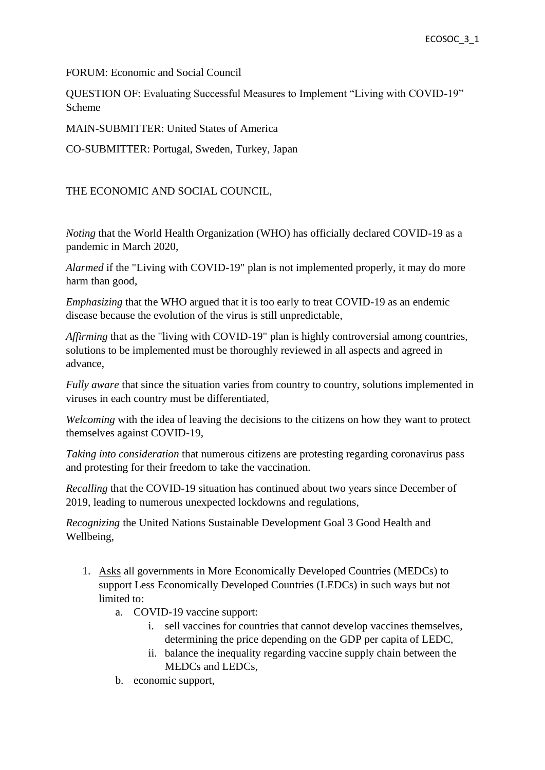FORUM: Economic and Social Council

QUESTION OF: Evaluating Successful Measures to Implement "Living with COVID-19" Scheme

MAIN-SUBMITTER: United States of America

CO-SUBMITTER: Portugal, Sweden, Turkey, Japan

THE ECONOMIC AND SOCIAL COUNCIL,

*Noting* that the World Health Organization (WHO) has officially declared COVID-19 as a pandemic in March 2020,

*Alarmed* if the "Living with COVID-19" plan is not implemented properly, it may do more harm than good,

*Emphasizing* that the WHO argued that it is too early to treat COVID-19 as an endemic disease because the evolution of the virus is still unpredictable,

*Affirming* that as the "living with COVID-19" plan is highly controversial among countries, solutions to be implemented must be thoroughly reviewed in all aspects and agreed in advance,

*Fully aware* that since the situation varies from country to country, solutions implemented in viruses in each country must be differentiated,

*Welcoming* with the idea of leaving the decisions to the citizens on how they want to protect themselves against COVID-19,

*Taking into consideration* that numerous citizens are protesting regarding coronavirus pass and protesting for their freedom to take the vaccination.

*Recalling* that the COVID-19 situation has continued about two years since December of 2019, leading to numerous unexpected lockdowns and regulations,

*Recognizing* the United Nations Sustainable Development Goal 3 Good Health and Wellbeing,

- 1. Asks all governments in More Economically Developed Countries (MEDCs) to support Less Economically Developed Countries (LEDCs) in such ways but not limited to:
	- a. COVID-19 vaccine support:
		- i. sell vaccines for countries that cannot develop vaccines themselves, determining the price depending on the GDP per capita of LEDC,
		- ii. balance the inequality regarding vaccine supply chain between the MEDCs and LEDCs,
	- b. economic support,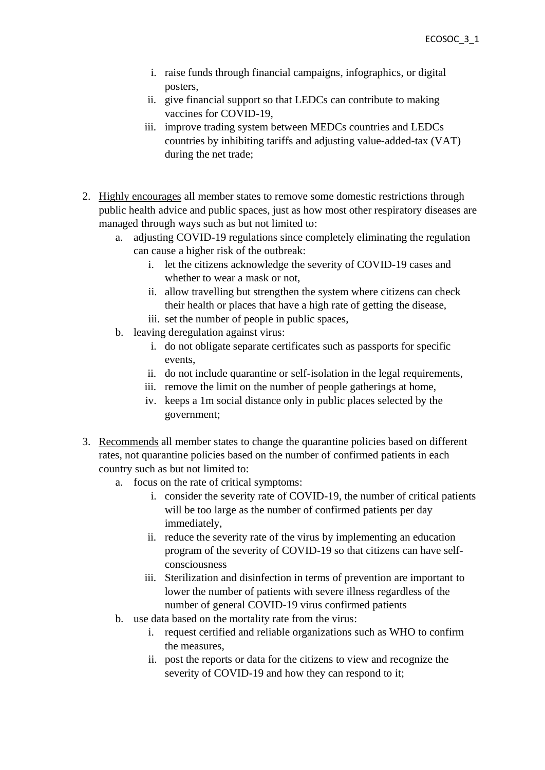- i. raise funds through financial campaigns, infographics, or digital posters,
- ii. give financial support so that LEDCs can contribute to making vaccines for COVID-19,
- iii. improve trading system between MEDCs countries and LEDCs countries by inhibiting tariffs and adjusting value-added-tax (VAT) during the net trade;
- 2. Highly encourages all member states to remove some domestic restrictions through public health advice and public spaces, just as how most other respiratory diseases are managed through ways such as but not limited to:
	- a. adjusting COVID-19 regulations since completely eliminating the regulation can cause a higher risk of the outbreak:
		- i. let the citizens acknowledge the severity of COVID-19 cases and whether to wear a mask or not,
		- ii. allow travelling but strengthen the system where citizens can check their health or places that have a high rate of getting the disease,
		- iii. set the number of people in public spaces,
	- b. leaving deregulation against virus:
		- i. do not obligate separate certificates such as passports for specific events,
		- ii. do not include quarantine or self-isolation in the legal requirements,
		- iii. remove the limit on the number of people gatherings at home,
		- iv. keeps a 1m social distance only in public places selected by the government;
- 3. Recommends all member states to change the quarantine policies based on different rates, not quarantine policies based on the number of confirmed patients in each country such as but not limited to:
	- a. focus on the rate of critical symptoms:
		- i. consider the severity rate of COVID-19, the number of critical patients will be too large as the number of confirmed patients per day immediately,
		- ii. reduce the severity rate of the virus by implementing an education program of the severity of COVID-19 so that citizens can have selfconsciousness
		- iii. Sterilization and disinfection in terms of prevention are important to lower the number of patients with severe illness regardless of the number of general COVID-19 virus confirmed patients
	- b. use data based on the mortality rate from the virus:
		- i. request certified and reliable organizations such as WHO to confirm the measures,
		- ii. post the reports or data for the citizens to view and recognize the severity of COVID-19 and how they can respond to it;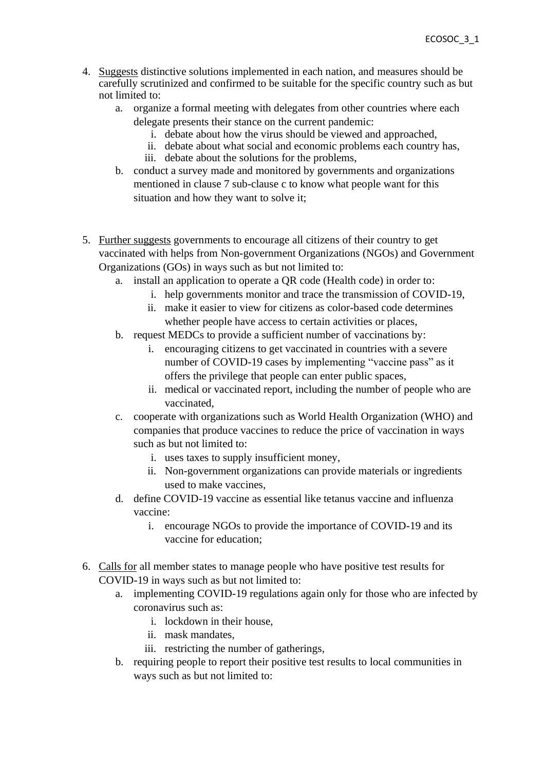- 4. Suggests distinctive solutions implemented in each nation, and measures should be carefully scrutinized and confirmed to be suitable for the specific country such as but not limited to:
	- a. organize a formal meeting with delegates from other countries where each delegate presents their stance on the current pandemic:
		- i. debate about how the virus should be viewed and approached,
		- ii. debate about what social and economic problems each country has,
		- iii. debate about the solutions for the problems,
	- b. conduct a survey made and monitored by governments and organizations mentioned in clause 7 sub-clause c to know what people want for this situation and how they want to solve it;
- 5. Further suggests governments to encourage all citizens of their country to get vaccinated with helps from Non-government Organizations (NGOs) and Government Organizations (GOs) in ways such as but not limited to:
	- a. install an application to operate a QR code (Health code) in order to:
		- i. help governments monitor and trace the transmission of COVID-19,
		- ii. make it easier to view for citizens as color-based code determines whether people have access to certain activities or places,
	- b. request MEDCs to provide a sufficient number of vaccinations by:
		- i. encouraging citizens to get vaccinated in countries with a severe number of COVID-19 cases by implementing "vaccine pass" as it offers the privilege that people can enter public spaces,
		- ii. medical or vaccinated report, including the number of people who are vaccinated,
	- c. cooperate with organizations such as World Health Organization (WHO) and companies that produce vaccines to reduce the price of vaccination in ways such as but not limited to:
		- i. uses taxes to supply insufficient money,
		- ii. Non-government organizations can provide materials or ingredients used to make vaccines,
	- d. define COVID-19 vaccine as essential like tetanus vaccine and influenza vaccine:
		- i. encourage NGOs to provide the importance of COVID-19 and its vaccine for education;
- 6. Calls for all member states to manage people who have positive test results for COVID-19 in ways such as but not limited to:
	- a. implementing COVID-19 regulations again only for those who are infected by coronavirus such as:
		- i. lockdown in their house,
		- ii. mask mandates,
		- iii. restricting the number of gatherings,
	- b. requiring people to report their positive test results to local communities in ways such as but not limited to: